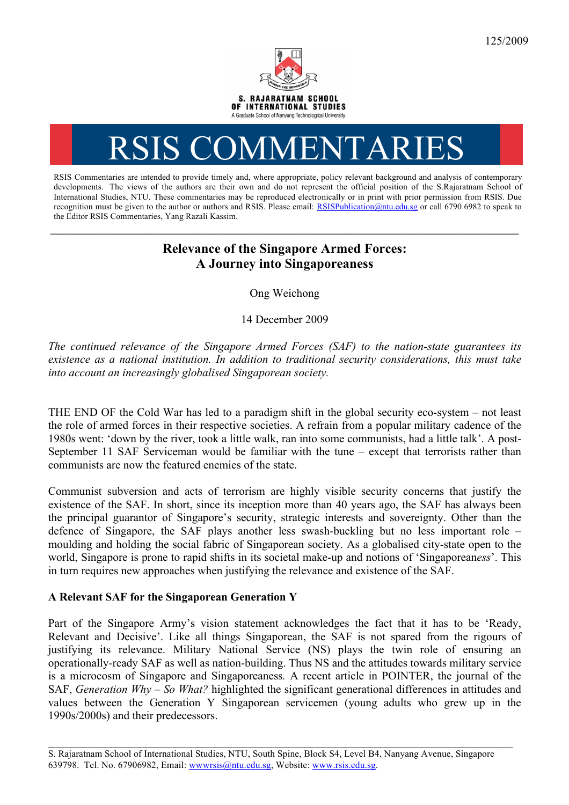

# RSIS COMMENTARIES

RSIS Commentaries are intended to provide timely and, where appropriate, policy relevant background and analysis of contemporary developments. The views of the authors are their own and do not represent the official position of the S.Rajaratnam School of International Studies, NTU. These commentaries may be reproduced electronically or in print with prior permission from RSIS. Due recognition must be given to the author or authors and RSIS. Please email: RSISPublication@ntu.edu.sg or call 6790 6982 to speak to the Editor RSIS Commentaries, Yang Razali Kassim.

## **Relevance of the Singapore Armed Forces: A Journey into Singaporeaness**

**\_\_\_\_\_\_\_\_\_\_\_\_\_\_\_\_\_\_\_\_\_\_\_\_\_\_\_\_\_\_\_\_\_\_\_\_\_\_\_\_\_\_\_\_\_\_\_\_\_\_\_\_\_\_\_\_\_\_\_\_\_\_\_\_\_\_\_\_\_\_\_\_\_\_\_\_\_\_\_\_\_\_\_\_\_\_\_\_\_\_\_\_\_\_\_\_\_\_**

Ong Weichong

14 December 2009

*The continued relevance of the Singapore Armed Forces (SAF) to the nation-state guarantees its existence as a national institution. In addition to traditional security considerations, this must take into account an increasingly globalised Singaporean society.* 

THE END OF the Cold War has led to a paradigm shift in the global security eco-system – not least the role of armed forces in their respective societies. A refrain from a popular military cadence of the 1980s went: 'down by the river, took a little walk, ran into some communists, had a little talk'. A post-September 11 SAF Serviceman would be familiar with the tune – except that terrorists rather than communists are now the featured enemies of the state.

Communist subversion and acts of terrorism are highly visible security concerns that justify the existence of the SAF. In short, since its inception more than 40 years ago, the SAF has always been the principal guarantor of Singapore's security, strategic interests and sovereignty. Other than the defence of Singapore, the SAF plays another less swash-buckling but no less important role – moulding and holding the social fabric of Singaporean society. As a globalised city-state open to the world, Singapore is prone to rapid shifts in its societal make-up and notions of 'Singaporean*ess*'. This in turn requires new approaches when justifying the relevance and existence of the SAF.

### **A Relevant SAF for the Singaporean Generation Y**

Part of the Singapore Army's vision statement acknowledges the fact that it has to be 'Ready, Relevant and Decisive'. Like all things Singaporean, the SAF is not spared from the rigours of justifying its relevance. Military National Service (NS) plays the twin role of ensuring an operationally-ready SAF as well as nation-building. Thus NS and the attitudes towards military service is a microcosm of Singapore and Singaporeaness*.* A recent article in POINTER, the journal of the SAF, *Generation Why – So What?* highlighted the significant generational differences in attitudes and values between the Generation Y Singaporean servicemen (young adults who grew up in the 1990s/2000s) and their predecessors.

\_\_\_\_\_\_\_\_\_\_\_\_\_\_\_\_\_\_\_\_\_\_\_\_\_\_\_\_\_\_\_\_\_\_\_\_\_\_\_\_\_\_\_\_\_\_\_\_\_\_\_\_\_\_\_\_\_\_\_\_\_\_\_\_\_\_\_\_\_\_\_\_\_\_\_\_\_\_\_\_\_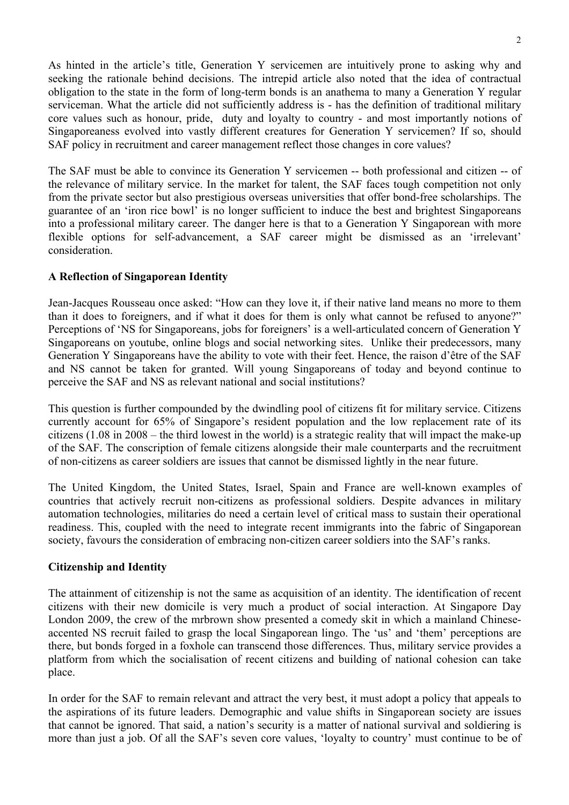As hinted in the article's title, Generation Y servicemen are intuitively prone to asking why and seeking the rationale behind decisions. The intrepid article also noted that the idea of contractual obligation to the state in the form of long-term bonds is an anathema to many a Generation Y regular serviceman. What the article did not sufficiently address is - has the definition of traditional military core values such as honour, pride, duty and loyalty to country - and most importantly notions of Singaporeaness evolved into vastly different creatures for Generation Y servicemen? If so, should SAF policy in recruitment and career management reflect those changes in core values?

The SAF must be able to convince its Generation Y servicemen -- both professional and citizen -- of the relevance of military service. In the market for talent, the SAF faces tough competition not only from the private sector but also prestigious overseas universities that offer bond-free scholarships. The guarantee of an 'iron rice bowl' is no longer sufficient to induce the best and brightest Singaporeans into a professional military career. The danger here is that to a Generation Y Singaporean with more flexible options for self-advancement, a SAF career might be dismissed as an 'irrelevant' consideration.

### **A Reflection of Singaporean Identity**

Jean-Jacques Rousseau once asked: "How can they love it, if their native land means no more to them than it does to foreigners, and if what it does for them is only what cannot be refused to anyone?" Perceptions of 'NS for Singaporeans, jobs for foreigners' is a well-articulated concern of Generation Y Singaporeans on youtube, online blogs and social networking sites. Unlike their predecessors, many Generation Y Singaporeans have the ability to vote with their feet. Hence, the raison d'être of the SAF and NS cannot be taken for granted. Will young Singaporeans of today and beyond continue to perceive the SAF and NS as relevant national and social institutions?

This question is further compounded by the dwindling pool of citizens fit for military service. Citizens currently account for 65% of Singapore's resident population and the low replacement rate of its citizens (1.08 in 2008 – the third lowest in the world) is a strategic reality that will impact the make-up of the SAF. The conscription of female citizens alongside their male counterparts and the recruitment of non-citizens as career soldiers are issues that cannot be dismissed lightly in the near future.

The United Kingdom, the United States, Israel, Spain and France are well-known examples of countries that actively recruit non-citizens as professional soldiers. Despite advances in military automation technologies, militaries do need a certain level of critical mass to sustain their operational readiness. This, coupled with the need to integrate recent immigrants into the fabric of Singaporean society, favours the consideration of embracing non-citizen career soldiers into the SAF's ranks.

#### **Citizenship and Identity**

The attainment of citizenship is not the same as acquisition of an identity. The identification of recent citizens with their new domicile is very much a product of social interaction. At Singapore Day London 2009, the crew of the mrbrown show presented a comedy skit in which a mainland Chineseaccented NS recruit failed to grasp the local Singaporean lingo. The 'us' and 'them' perceptions are there, but bonds forged in a foxhole can transcend those differences. Thus, military service provides a platform from which the socialisation of recent citizens and building of national cohesion can take place.

In order for the SAF to remain relevant and attract the very best, it must adopt a policy that appeals to the aspirations of its future leaders. Demographic and value shifts in Singaporean society are issues that cannot be ignored. That said, a nation's security is a matter of national survival and soldiering is more than just a job. Of all the SAF's seven core values, 'loyalty to country' must continue to be of